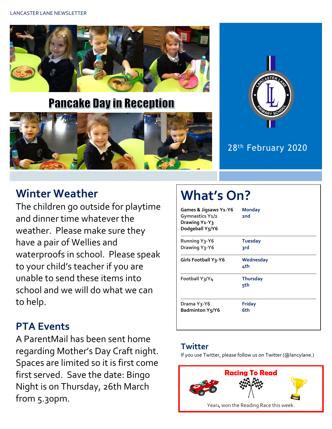

**Pancake Day in Reception** 



### 28th February 2020

## **Winter Weather**

The children go outside for playtime and dinner time whatever the weather. Please make sure they have a pair of Wellies and waterproofs in school. Please speak to your child's teacher if you are unable to send these items into school and we will do what we can to help.

## **PTA Events**

A ParentMail has been sent home regarding Mother's Day Craft night. Spaces are limited so it is first come first served. Save the date: Bingo Night is on Thursday, 26th March from 5.30pm.

# **What's On?**

| Games & Jigsaws Y1-Y6<br>Gymnastics Y1/2<br>Drawing Y <sub>1</sub> -Y <sub>3</sub><br>Dodgeball Y5/Y6 | <b>Monday</b><br>2 <sub>nd</sub> |
|-------------------------------------------------------------------------------------------------------|----------------------------------|
| <b>Running Y3-Y6</b><br>Drawing Y <sub>3</sub> -Y6                                                    | <b>Tuesday</b><br>3rd            |
| <b>Girls Football Y3-Y6</b>                                                                           | Wednesday<br>4th                 |
| Football Y3/Y4                                                                                        | <b>Thursday</b><br>5th           |
| Drama Y3-Y6<br><b>Badminton Y5/Y6</b>                                                                 | <b>Friday</b><br>6th             |

#### **Twitter**

If you use Twitter, please follow us on Twitter (@lancylane.)

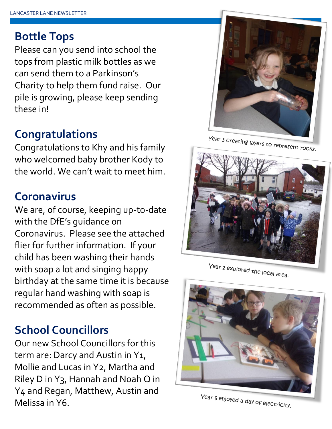## **Bottle Tops**

Please can you send into school the tops from plastic milk bottles as we can send them to a Parkinson's Charity to help them fund raise. Our pile is growing, please keep sending these in!

## **Congratulations**

Congratulations to Khy and his family who welcomed baby brother Kody to the world. We can't wait to meet him.

## **Coronavirus**

We are, of course, keeping up-to-date with the DfE's guidance on Coronavirus. Please see the attached flier for further information. If your child has been washing their hands with soap a lot and singing happy birthday at the same time it is because regular hand washing with soap is recommended as often as possible.

# **School Councillors**

Our new School Councillors for this term are: Darcy and Austin in Y<sub>1</sub>, Mollie and Lucas in Y2, Martha and Riley D in Y3, Hannah and Noah Q in Y4 and Regan, Matthew, Austin and Melissa in Y6.



Year 3 Creating layers to represent rocks.



Year 2 explored the local area.



Year 6 enjoyed a day of electricity.